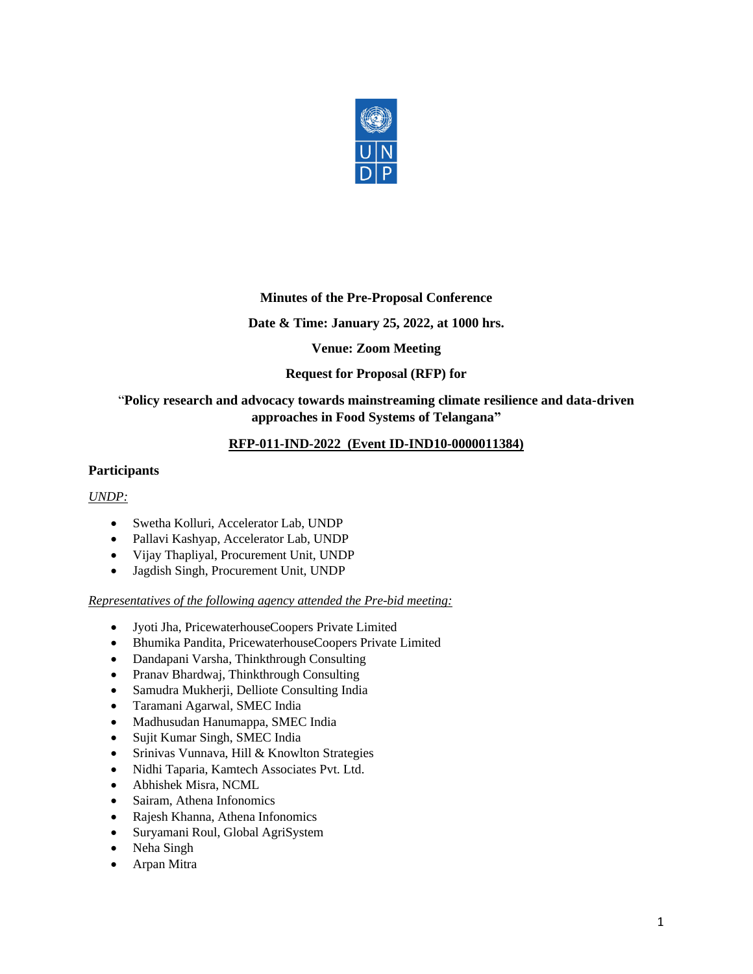

## **Minutes of the Pre-Proposal Conference**

## **Date & Time: January 25, 2022, at 1000 hrs.**

## **Venue: Zoom Meeting**

## **Request for Proposal (RFP) for**

## "**Policy research and advocacy towards mainstreaming climate resilience and data-driven approaches in Food Systems of Telangana"**

## **RFP-011-IND-2022 (Event ID-IND10-0000011384)**

### **Participants**

### *UNDP:*

- Swetha Kolluri, Accelerator Lab, UNDP
- Pallavi Kashyap, Accelerator Lab, UNDP
- Vijay Thapliyal, Procurement Unit, UNDP
- Jagdish Singh, Procurement Unit, UNDP

### *Representatives of the following agency attended the Pre-bid meeting:*

- Jyoti Jha, PricewaterhouseCoopers Private Limited
- Bhumika Pandita, PricewaterhouseCoopers Private Limited
- Dandapani Varsha, Thinkthrough Consulting
- Pranav Bhardwaj, Thinkthrough Consulting
- Samudra Mukherji, Delliote Consulting India
- Taramani Agarwal, SMEC India
- Madhusudan Hanumappa, SMEC India
- Sujit Kumar Singh, SMEC India
- Srinivas Vunnava, Hill & Knowlton Strategies
- Nidhi Taparia, Kamtech Associates Pvt. Ltd.
- Abhishek Misra, NCML
- Sairam, Athena Infonomics
- Rajesh Khanna, Athena Infonomics
- Suryamani Roul, Global AgriSystem
- Neha Singh
- Arpan Mitra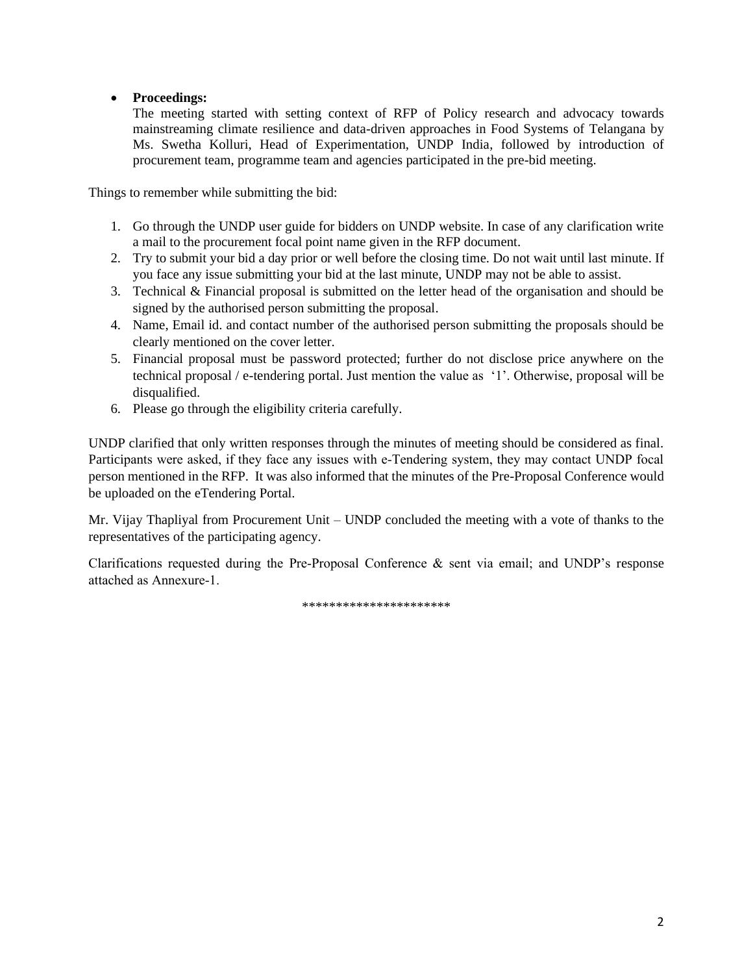# • **Proceedings:**

The meeting started with setting context of RFP of Policy research and advocacy towards mainstreaming climate resilience and data-driven approaches in Food Systems of Telangana by Ms. Swetha Kolluri, Head of Experimentation, UNDP India, followed by introduction of procurement team, programme team and agencies participated in the pre-bid meeting.

Things to remember while submitting the bid:

- 1. Go through the UNDP user guide for bidders on UNDP website. In case of any clarification write a mail to the procurement focal point name given in the RFP document.
- 2. Try to submit your bid a day prior or well before the closing time. Do not wait until last minute. If you face any issue submitting your bid at the last minute, UNDP may not be able to assist.
- 3. Technical & Financial proposal is submitted on the letter head of the organisation and should be signed by the authorised person submitting the proposal.
- 4. Name, Email id. and contact number of the authorised person submitting the proposals should be clearly mentioned on the cover letter.
- 5. Financial proposal must be password protected; further do not disclose price anywhere on the technical proposal / e-tendering portal. Just mention the value as '1'. Otherwise, proposal will be disqualified.
- 6. Please go through the eligibility criteria carefully.

UNDP clarified that only written responses through the minutes of meeting should be considered as final. Participants were asked, if they face any issues with e‐Tendering system, they may contact UNDP focal person mentioned in the RFP. It was also informed that the minutes of the Pre-Proposal Conference would be uploaded on the eTendering Portal.

Mr. Vijay Thapliyal from Procurement Unit – UNDP concluded the meeting with a vote of thanks to the representatives of the participating agency.

Clarifications requested during the Pre-Proposal Conference  $\&$  sent via email; and UNDP's response attached as Annexure‐1.

\*\*\*\*\*\*\*\*\*\*\*\*\*\*\*\*\*\*\*\*\*\*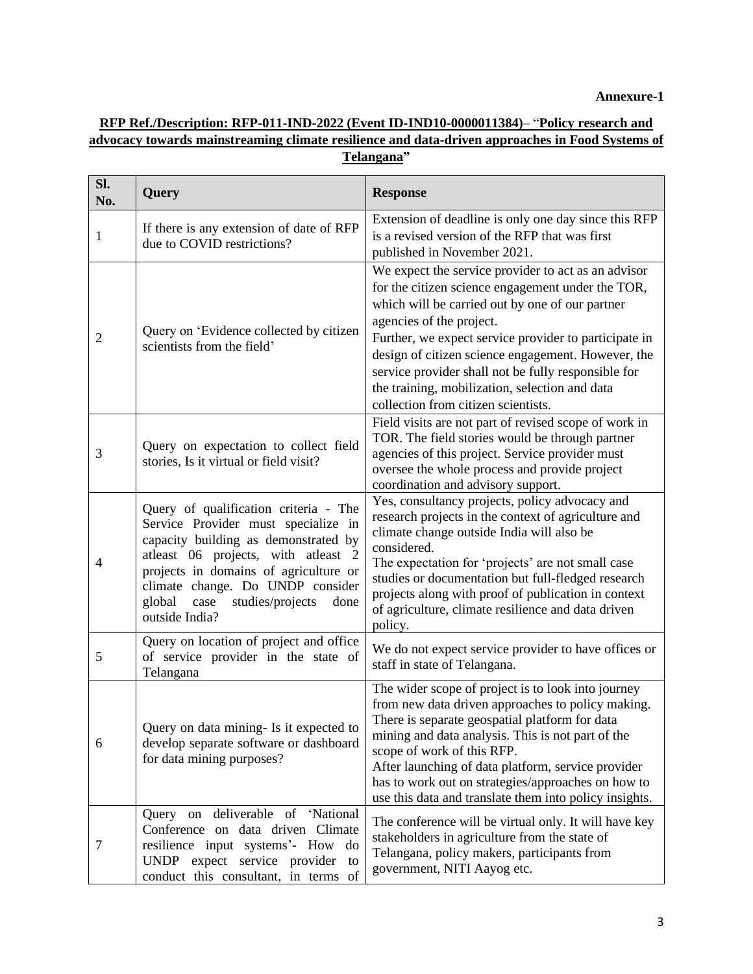# **RFP Ref./Description: RFP-011-IND-2022 (Event ID-IND10-0000011384)**– "**Policy research and advocacy towards mainstreaming climate resilience and data-driven approaches in Food Systems of Telangana"**

| Sl.<br>No.     | Query                                                                                                                                                                                                                                                                                                 | <b>Response</b>                                                                                                                                                                                                                                                                                                                                                                                                                                        |
|----------------|-------------------------------------------------------------------------------------------------------------------------------------------------------------------------------------------------------------------------------------------------------------------------------------------------------|--------------------------------------------------------------------------------------------------------------------------------------------------------------------------------------------------------------------------------------------------------------------------------------------------------------------------------------------------------------------------------------------------------------------------------------------------------|
| 1              | If there is any extension of date of RFP<br>due to COVID restrictions?                                                                                                                                                                                                                                | Extension of deadline is only one day since this RFP<br>is a revised version of the RFP that was first<br>published in November 2021.                                                                                                                                                                                                                                                                                                                  |
| $\overline{2}$ | Query on 'Evidence collected by citizen<br>scientists from the field'                                                                                                                                                                                                                                 | We expect the service provider to act as an advisor<br>for the citizen science engagement under the TOR,<br>which will be carried out by one of our partner<br>agencies of the project.<br>Further, we expect service provider to participate in<br>design of citizen science engagement. However, the<br>service provider shall not be fully responsible for<br>the training, mobilization, selection and data<br>collection from citizen scientists. |
| 3              | Query on expectation to collect field<br>stories, Is it virtual or field visit?                                                                                                                                                                                                                       | Field visits are not part of revised scope of work in<br>TOR. The field stories would be through partner<br>agencies of this project. Service provider must<br>oversee the whole process and provide project<br>coordination and advisory support.                                                                                                                                                                                                     |
| $\overline{4}$ | Query of qualification criteria - The<br>Service Provider must specialize in<br>capacity building as demonstrated by<br>atleast 06 projects, with atleast 2<br>projects in domains of agriculture or<br>climate change. Do UNDP consider<br>studies/projects<br>global case<br>done<br>outside India? | Yes, consultancy projects, policy advocacy and<br>research projects in the context of agriculture and<br>climate change outside India will also be<br>considered.<br>The expectation for 'projects' are not small case<br>studies or documentation but full-fledged research<br>projects along with proof of publication in context<br>of agriculture, climate resilience and data driven<br>policy.                                                   |
| 5              | Query on location of project and office<br>of service provider in the state of<br>Telangana                                                                                                                                                                                                           | We do not expect service provider to have offices or<br>staff in state of Telangana.                                                                                                                                                                                                                                                                                                                                                                   |
| 6              | Query on data mining- Is it expected to<br>develop separate software or dashboard<br>for data mining purposes?                                                                                                                                                                                        | The wider scope of project is to look into journey<br>from new data driven approaches to policy making.<br>There is separate geospatial platform for data<br>mining and data analysis. This is not part of the<br>scope of work of this RFP.<br>After launching of data platform, service provider<br>has to work out on strategies/approaches on how to<br>use this data and translate them into policy insights.                                     |
| 7              | Query on deliverable of 'National<br>Conference on data driven Climate<br>resilience input systems'- How do<br>UNDP expect service provider<br>to<br>conduct this consultant, in terms of                                                                                                             | The conference will be virtual only. It will have key<br>stakeholders in agriculture from the state of<br>Telangana, policy makers, participants from<br>government, NITI Aayog etc.                                                                                                                                                                                                                                                                   |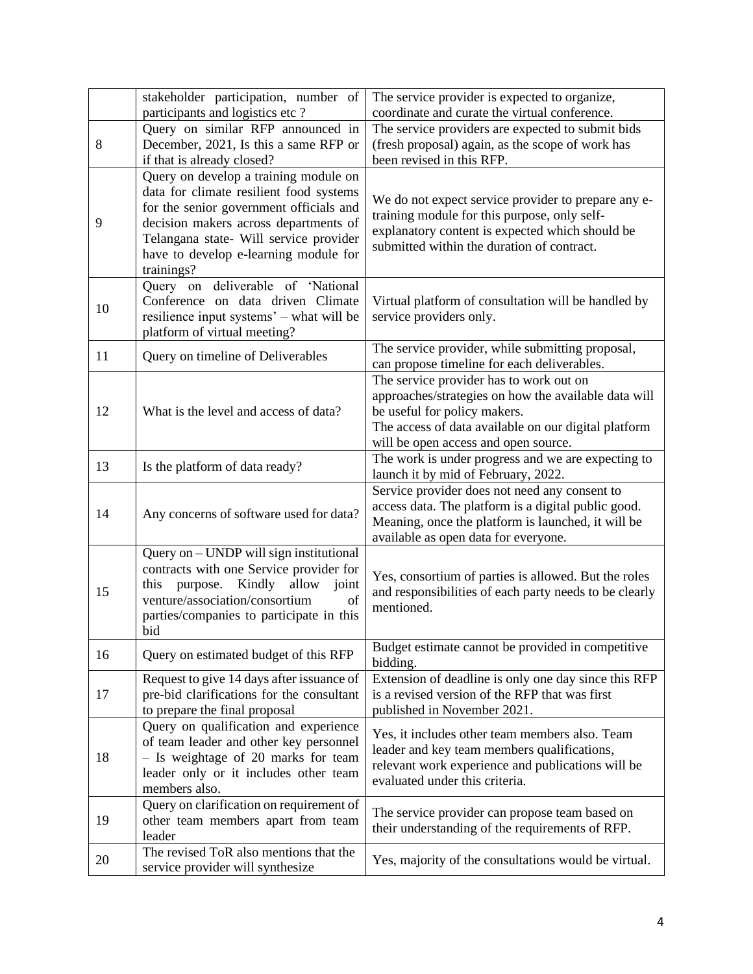|    | stakeholder participation, number of<br>participants and logistics etc?                                                                                                                                                                                               | The service provider is expected to organize,<br>coordinate and curate the virtual conference.                                                                                                                                  |
|----|-----------------------------------------------------------------------------------------------------------------------------------------------------------------------------------------------------------------------------------------------------------------------|---------------------------------------------------------------------------------------------------------------------------------------------------------------------------------------------------------------------------------|
| 8  | Query on similar RFP announced in<br>December, 2021, Is this a same RFP or<br>if that is already closed?                                                                                                                                                              | The service providers are expected to submit bids<br>(fresh proposal) again, as the scope of work has<br>been revised in this RFP.                                                                                              |
| 9  | Query on develop a training module on<br>data for climate resilient food systems<br>for the senior government officials and<br>decision makers across departments of<br>Telangana state- Will service provider<br>have to develop e-learning module for<br>trainings? | We do not expect service provider to prepare any e-<br>training module for this purpose, only self-<br>explanatory content is expected which should be<br>submitted within the duration of contract.                            |
| 10 | Query on deliverable of 'National<br>Conference on data driven Climate<br>resilience input systems' – what will be<br>platform of virtual meeting?                                                                                                                    | Virtual platform of consultation will be handled by<br>service providers only.                                                                                                                                                  |
| 11 | Query on timeline of Deliverables                                                                                                                                                                                                                                     | The service provider, while submitting proposal,<br>can propose timeline for each deliverables.                                                                                                                                 |
| 12 | What is the level and access of data?                                                                                                                                                                                                                                 | The service provider has to work out on<br>approaches/strategies on how the available data will<br>be useful for policy makers.<br>The access of data available on our digital platform<br>will be open access and open source. |
| 13 | Is the platform of data ready?                                                                                                                                                                                                                                        | The work is under progress and we are expecting to<br>launch it by mid of February, 2022.                                                                                                                                       |
| 14 | Any concerns of software used for data?                                                                                                                                                                                                                               | Service provider does not need any consent to<br>access data. The platform is a digital public good.<br>Meaning, once the platform is launched, it will be<br>available as open data for everyone.                              |
| 15 | Query on – UNDP will sign institutional<br>contracts with one Service provider for<br>purpose. Kindly allow<br>this<br>joint<br>venture/association/consortium<br>of<br>parties/companies to participate in this<br>bid                                               | Yes, consortium of parties is allowed. But the roles<br>and responsibilities of each party needs to be clearly<br>mentioned.                                                                                                    |
| 16 | Query on estimated budget of this RFP                                                                                                                                                                                                                                 | Budget estimate cannot be provided in competitive<br>bidding.                                                                                                                                                                   |
| 17 | Request to give 14 days after issuance of<br>pre-bid clarifications for the consultant<br>to prepare the final proposal                                                                                                                                               | Extension of deadline is only one day since this RFP<br>is a revised version of the RFP that was first<br>published in November 2021.                                                                                           |
| 18 | Query on qualification and experience<br>of team leader and other key personnel<br>- Is weightage of 20 marks for team<br>leader only or it includes other team<br>members also.                                                                                      | Yes, it includes other team members also. Team<br>leader and key team members qualifications,<br>relevant work experience and publications will be<br>evaluated under this criteria.                                            |
| 19 | Query on clarification on requirement of<br>other team members apart from team<br>leader                                                                                                                                                                              | The service provider can propose team based on<br>their understanding of the requirements of RFP.                                                                                                                               |
| 20 | The revised ToR also mentions that the<br>service provider will synthesize                                                                                                                                                                                            | Yes, majority of the consultations would be virtual.                                                                                                                                                                            |